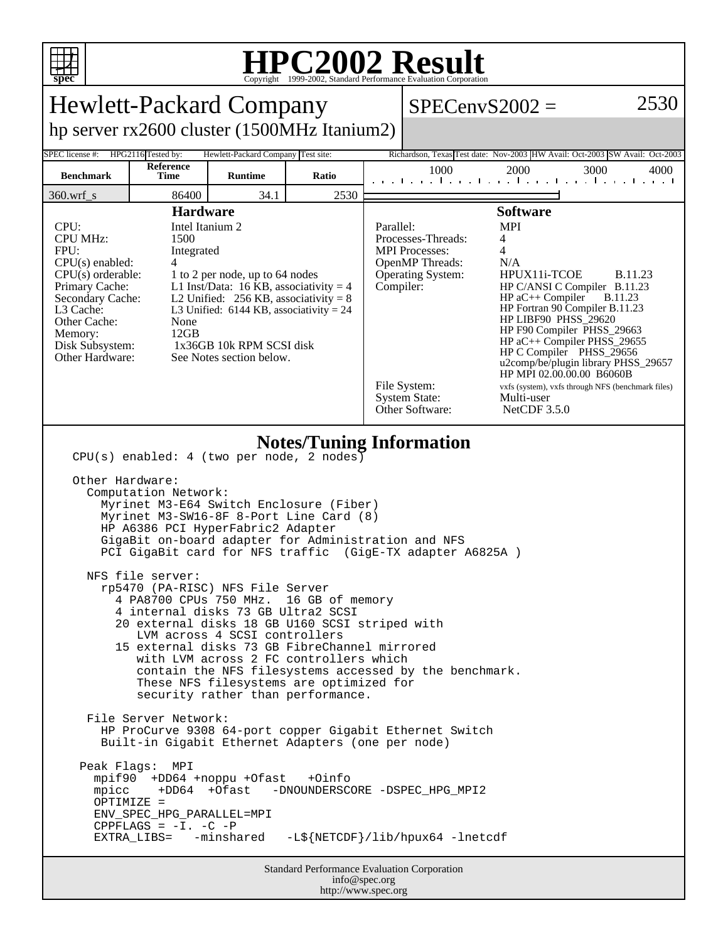

## **HPC2002 Result**

| <b>Hewlett-Packard Company</b>                                                                                                                                                                                                                                                                                                                                                                                                                                                                                                                                                                                                                                                                                                                                                                                                                                                                                                                                                                                                                                                                                                                                                                                                                                      |                                 |                                    |       |  |                                                                                                                                                                     |                                                                                                                                                                                                                                                                                                                                      |                                                                                                                              |  |  |  |
|---------------------------------------------------------------------------------------------------------------------------------------------------------------------------------------------------------------------------------------------------------------------------------------------------------------------------------------------------------------------------------------------------------------------------------------------------------------------------------------------------------------------------------------------------------------------------------------------------------------------------------------------------------------------------------------------------------------------------------------------------------------------------------------------------------------------------------------------------------------------------------------------------------------------------------------------------------------------------------------------------------------------------------------------------------------------------------------------------------------------------------------------------------------------------------------------------------------------------------------------------------------------|---------------------------------|------------------------------------|-------|--|---------------------------------------------------------------------------------------------------------------------------------------------------------------------|--------------------------------------------------------------------------------------------------------------------------------------------------------------------------------------------------------------------------------------------------------------------------------------------------------------------------------------|------------------------------------------------------------------------------------------------------------------------------|--|--|--|
|                                                                                                                                                                                                                                                                                                                                                                                                                                                                                                                                                                                                                                                                                                                                                                                                                                                                                                                                                                                                                                                                                                                                                                                                                                                                     |                                 |                                    |       |  | $SPECenvS2002 =$                                                                                                                                                    |                                                                                                                                                                                                                                                                                                                                      | 2530                                                                                                                         |  |  |  |
| hp server rx2600 cluster (1500MHz Itanium2)                                                                                                                                                                                                                                                                                                                                                                                                                                                                                                                                                                                                                                                                                                                                                                                                                                                                                                                                                                                                                                                                                                                                                                                                                         |                                 |                                    |       |  |                                                                                                                                                                     |                                                                                                                                                                                                                                                                                                                                      |                                                                                                                              |  |  |  |
| SPEC license #:                                                                                                                                                                                                                                                                                                                                                                                                                                                                                                                                                                                                                                                                                                                                                                                                                                                                                                                                                                                                                                                                                                                                                                                                                                                     | HPG2116 Tested by:<br>Reference | Hewlett-Packard Company Test site: |       |  |                                                                                                                                                                     |                                                                                                                                                                                                                                                                                                                                      | Richardson, Texas Test date: Nov-2003 HW Avail: Oct-2003 SW Avail: Oct-2003                                                  |  |  |  |
| <b>Benchmark</b>                                                                                                                                                                                                                                                                                                                                                                                                                                                                                                                                                                                                                                                                                                                                                                                                                                                                                                                                                                                                                                                                                                                                                                                                                                                    | Time                            | <b>Runtime</b>                     | Ratio |  | 1000                                                                                                                                                                | 2000                                                                                                                                                                                                                                                                                                                                 | 3000<br>4000                                                                                                                 |  |  |  |
| $360.wrf$ <sub>s</sub>                                                                                                                                                                                                                                                                                                                                                                                                                                                                                                                                                                                                                                                                                                                                                                                                                                                                                                                                                                                                                                                                                                                                                                                                                                              | 86400                           | 34.1                               | 2530  |  |                                                                                                                                                                     |                                                                                                                                                                                                                                                                                                                                      |                                                                                                                              |  |  |  |
| <b>Hardware</b><br>CPU:<br>Intel Itanium 2<br><b>CPU MHz:</b><br>1500<br>FPU:<br>Integrated<br>$CPU(s)$ enabled:<br>4<br>$CPU(s)$ orderable:<br>1 to 2 per node, up to 64 nodes<br>L1 Inst/Data: 16 KB, associativity = $4$<br>Primary Cache:<br>Secondary Cache:<br>L2 Unified: $256$ KB, associativity = 8<br>L3 Cache:<br>L3 Unified: $6144$ KB, associativity = 24<br>Other Cache:<br>None<br>12GB<br>Memory:<br>Disk Subsystem:<br>1x36GB 10k RPM SCSI disk<br>Other Hardware:<br>See Notes section below.                                                                                                                                                                                                                                                                                                                                                                                                                                                                                                                                                                                                                                                                                                                                                     |                                 |                                    |       |  | Parallel:<br>Processes-Threads:<br><b>MPI</b> Processes:<br><b>OpenMP</b> Threads:<br><b>Operating System:</b><br>Compiler:<br>File System:<br><b>System State:</b> | <b>Software</b><br><b>MPI</b><br>4<br>4<br>N/A<br>HPUX11i-TCOE<br>HP C/ANSI C Compiler B.11.23<br>$HP$ aC++ Compiler<br>HP Fortran 90 Compiler B.11.23<br>HP LIBF90 PHSS_29620<br>HP F90 Compiler PHSS_29663<br>$HP$ aC++ Compiler PHSS_29655<br>HP C Compiler PHSS_29656<br>HP MPI 02.00.00.00 B6060B<br>Multi-user<br>NetCDF 3.5.0 | <b>B.11.23</b><br><b>B.11.23</b><br>u2comp/be/plugin library PHSS_29657<br>vxfs (system), vxfs through NFS (benchmark files) |  |  |  |
| Other Software:<br><b>Notes/Tuning Information</b><br>$CPU(s)$ enabled: 4 (two per node, 2 nodes)<br>Other Hardware:<br>Computation Network:<br>Myrinet M3-E64 Switch Enclosure (Fiber)<br>Myrinet M3-SW16-8F 8-Port Line Card (8)<br>HP A6386 PCI HyperFabric2 Adapter<br>GigaBit on-board adapter for Administration and NFS<br>PCI GigaBit card for NFS traffic (GigE-TX adapter A6825A)<br>NFS file server:<br>rp5470 (PA-RISC) NFS File Server<br>4 PA8700 CPUs 750 MHz.<br>16 GB of memory<br>4 internal disks 73 GB Ultra2 SCSI<br>20 external disks 18 GB U160 SCSI striped with<br>LVM across 4 SCSI controllers<br>15 external disks 73 GB FibreChannel mirrored<br>with LVM across 2 FC controllers which<br>contain the NFS filesystems accessed by the benchmark.<br>These NFS filesystems are optimized for<br>security rather than performance.<br>File Server Network:<br>HP ProCurve 9308 64-port copper Gigabit Ethernet Switch<br>Built-in Gigabit Ethernet Adapters (one per node)<br>Peak Flags: MPI<br>mpif90 +DD64 +noppu +Ofast<br>$+Oinfo$<br>mpicc<br>+DD64 +Ofast<br>-DNOUNDERSCORE -DSPEC_HPG_MPI2<br>$OPTIMIZE =$<br>ENV_SPEC_HPG_PARALLEL=MPI<br>CPPFLAGS = $-I. -C$ -P<br>-L\${NETCDF}/lib/hpux64 -lnetcdf<br>EXTRA_LIBS= -minshared |                                 |                                    |       |  |                                                                                                                                                                     |                                                                                                                                                                                                                                                                                                                                      |                                                                                                                              |  |  |  |
| <b>Standard Performance Evaluation Corporation</b><br>info@spec.org<br>http://www.spec.org                                                                                                                                                                                                                                                                                                                                                                                                                                                                                                                                                                                                                                                                                                                                                                                                                                                                                                                                                                                                                                                                                                                                                                          |                                 |                                    |       |  |                                                                                                                                                                     |                                                                                                                                                                                                                                                                                                                                      |                                                                                                                              |  |  |  |